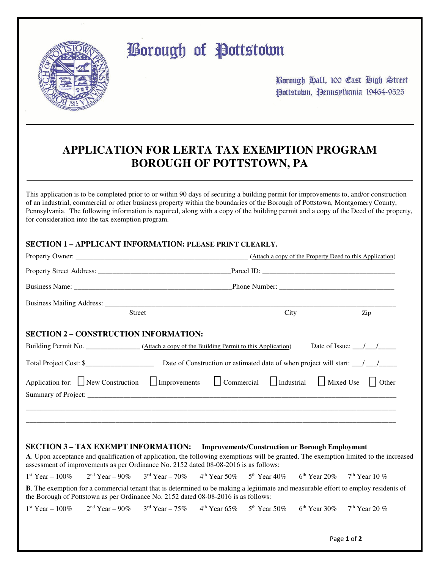

# **Borough of Pottstown**

Borough Hall, 100 Cast High Street Pottstown, Pennsylvania 19464-9525

## **APPLICATION FOR LERTA TAX EXEMPTION PROGRAM BOROUGH OF POTTSTOWN, PA**

**\_\_\_\_\_\_\_\_\_\_\_\_\_\_\_\_\_\_\_\_\_\_\_\_\_\_\_\_\_\_\_\_\_\_\_\_\_\_\_\_\_\_\_\_\_\_\_\_\_\_\_\_\_\_\_\_\_\_\_\_\_\_\_\_\_\_\_\_\_** 

This application is to be completed prior to or within 90 days of securing a building permit for improvements to, and/or construction of an industrial, commercial or other business property within the boundaries of the Borough of Pottstown, Montgomery County, Pennsylvania. The following information is required, along with a copy of the building permit and a copy of the Deed of the property, for consideration into the tax exemption program.

#### **SECTION 1 – APPLICANT INFORMATION: PLEASE PRINT CLEARLY.**

|                                                                                                                                                                   |        |                                                                                                                                                   |  |                                                        |  | (Attach a copy of the Property Deed to this Application)                                                                                   |
|-------------------------------------------------------------------------------------------------------------------------------------------------------------------|--------|---------------------------------------------------------------------------------------------------------------------------------------------------|--|--------------------------------------------------------|--|--------------------------------------------------------------------------------------------------------------------------------------------|
|                                                                                                                                                                   |        |                                                                                                                                                   |  |                                                        |  |                                                                                                                                            |
|                                                                                                                                                                   |        |                                                                                                                                                   |  |                                                        |  |                                                                                                                                            |
|                                                                                                                                                                   | Street |                                                                                                                                                   |  | City                                                   |  | Zip                                                                                                                                        |
| <b>SECTION 2 - CONSTRUCTION INFORMATION:</b>                                                                                                                      |        |                                                                                                                                                   |  |                                                        |  |                                                                                                                                            |
| Building Permit No. ___________________(Attach a copy of the Building Permit to this Application)                                                                 |        |                                                                                                                                                   |  |                                                        |  | Date of Issue: $\frac{\sqrt{1-\frac{1}{2}}}{\sqrt{1-\frac{1}{2}}}}$                                                                        |
|                                                                                                                                                                   |        |                                                                                                                                                   |  |                                                        |  |                                                                                                                                            |
| Application for: New Construction Improvements                                                                                                                    |        |                                                                                                                                                   |  |                                                        |  | Commercial   Industrial   Mixed Use   Other                                                                                                |
| <b>SECTION 3 - TAX EXEMPT INFORMATION:</b><br>assessment of improvements as per Ordinance No. 2152 dated 08-08-2016 is as follows:                                |        |                                                                                                                                                   |  | <b>Improvements/Construction or Borough Employment</b> |  | A. Upon acceptance and qualification of application, the following exemptions will be granted. The exemption limited to the increased      |
| $1st$ Year – $100\%$                                                                                                                                              |        | $2nd Year - 90\%$ 3 <sup>rd</sup> Year - 70% 4 <sup>th</sup> Year 50% 5 <sup>th</sup> Year 40% 6 <sup>th</sup> Year 20% 7 <sup>th</sup> Year 10 % |  |                                                        |  |                                                                                                                                            |
| the Borough of Pottstown as per Ordinance No. 2152 dated 08-08-2016 is as follows:                                                                                |        |                                                                                                                                                   |  |                                                        |  | <b>B</b> . The exemption for a commercial tenant that is determined to be making a legitimate and measurable effort to employ residents of |
| $1^{st}$ Year $-100\%$ 2 <sup>nd</sup> Year $-90\%$ 3 <sup>rd</sup> Year $-75\%$ 4 <sup>th</sup> Year $65\%$ 5 <sup>th</sup> Year $50\%$ 6 <sup>th</sup> Year 30% |        |                                                                                                                                                   |  |                                                        |  | $7th$ Year 20 %                                                                                                                            |
|                                                                                                                                                                   |        |                                                                                                                                                   |  |                                                        |  |                                                                                                                                            |